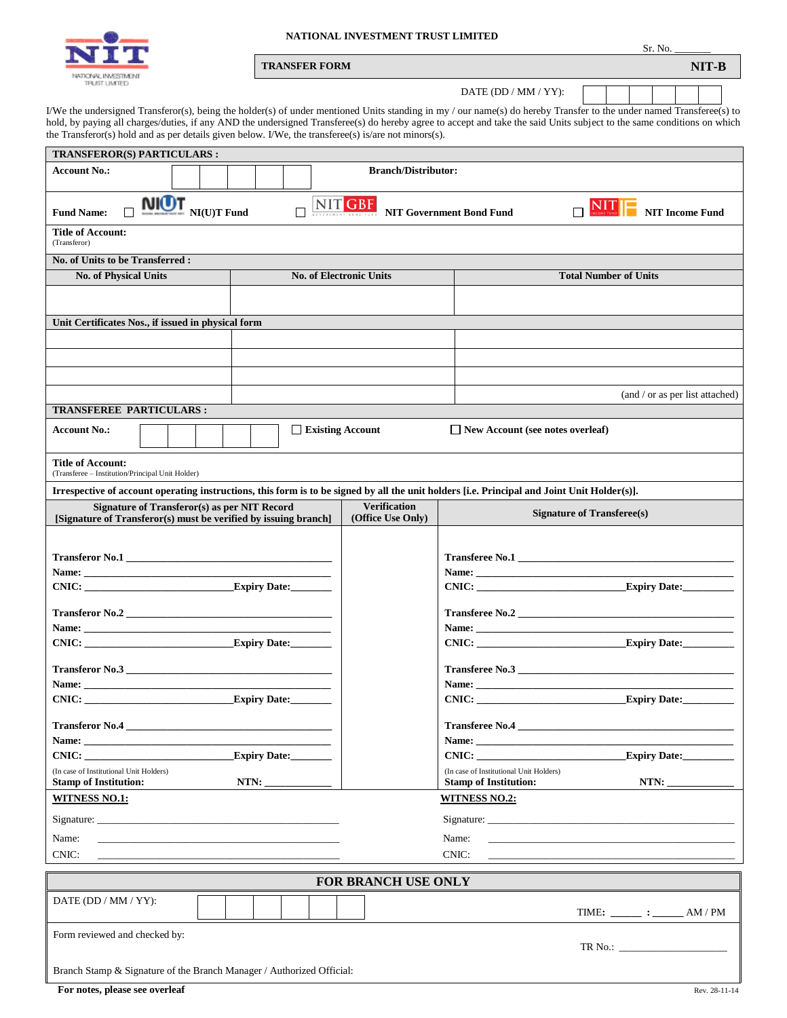

## **NATIONAL INVESTMENT TRUST LIMITED**

| <b>TRANSFER FORM</b> | NIT-B |
|----------------------|-------|
|                      |       |

DATE (DD / MM / YY):

I/We the undersigned Transferor(s), being the holder(s) of under mentioned Units standing in my / our name(s) do hereby Transfer to the under named Transferee(s) to hold, by paying all charges/duties, if any AND the undersigned Transferee(s) do hereby agree to accept and take the said Units subject to the same conditions on which the Transferor(s) hold and as per details given below. I/We, the transferee(s) is/are not minors(s).

| TRANSFEROR(S) PARTICULARS :                                                                                     |                                                                                                                                       |  |  |  |  |                                |                                          |  |                                                                                                                                                                                                                                     |  |  |  |
|-----------------------------------------------------------------------------------------------------------------|---------------------------------------------------------------------------------------------------------------------------------------|--|--|--|--|--------------------------------|------------------------------------------|--|-------------------------------------------------------------------------------------------------------------------------------------------------------------------------------------------------------------------------------------|--|--|--|
| <b>Account No.:</b>                                                                                             |                                                                                                                                       |  |  |  |  |                                | <b>Branch/Distributor:</b>               |  |                                                                                                                                                                                                                                     |  |  |  |
| <b>NIOT</b><br><b>Fund Name:</b>                                                                                | <b>NIT GBF</b> NIT Government Bond Fund<br>$N_{\text{INCOME FUND}}$<br>$\Box$<br>$\blacksquare$ NI(U)T Fund<br><b>NIT Income Fund</b> |  |  |  |  |                                |                                          |  |                                                                                                                                                                                                                                     |  |  |  |
| <b>Title of Account:</b><br>(Transferor)                                                                        |                                                                                                                                       |  |  |  |  |                                |                                          |  |                                                                                                                                                                                                                                     |  |  |  |
| No. of Units to be Transferred:                                                                                 |                                                                                                                                       |  |  |  |  |                                |                                          |  |                                                                                                                                                                                                                                     |  |  |  |
| <b>No. of Physical Units</b>                                                                                    |                                                                                                                                       |  |  |  |  | <b>No. of Electronic Units</b> |                                          |  | <b>Total Number of Units</b>                                                                                                                                                                                                        |  |  |  |
|                                                                                                                 |                                                                                                                                       |  |  |  |  |                                |                                          |  |                                                                                                                                                                                                                                     |  |  |  |
| Unit Certificates Nos., if issued in physical form                                                              |                                                                                                                                       |  |  |  |  |                                |                                          |  |                                                                                                                                                                                                                                     |  |  |  |
|                                                                                                                 |                                                                                                                                       |  |  |  |  |                                |                                          |  |                                                                                                                                                                                                                                     |  |  |  |
|                                                                                                                 |                                                                                                                                       |  |  |  |  |                                |                                          |  |                                                                                                                                                                                                                                     |  |  |  |
|                                                                                                                 |                                                                                                                                       |  |  |  |  |                                |                                          |  |                                                                                                                                                                                                                                     |  |  |  |
|                                                                                                                 |                                                                                                                                       |  |  |  |  |                                |                                          |  | (and / or as per list attached)                                                                                                                                                                                                     |  |  |  |
| <b>TRANSFEREE PARTICULARS:</b>                                                                                  |                                                                                                                                       |  |  |  |  |                                |                                          |  |                                                                                                                                                                                                                                     |  |  |  |
| <b>Account No.:</b>                                                                                             |                                                                                                                                       |  |  |  |  | $\Box$ Existing Account        |                                          |  | $\Box$ New Account (see notes overleaf)                                                                                                                                                                                             |  |  |  |
| <b>Title of Account:</b><br>(Transferee - Institution/Principal Unit Holder)                                    |                                                                                                                                       |  |  |  |  |                                |                                          |  |                                                                                                                                                                                                                                     |  |  |  |
|                                                                                                                 |                                                                                                                                       |  |  |  |  |                                |                                          |  | Irrespective of account operating instructions, this form is to be signed by all the unit holders [i.e. Principal and Joint Unit Holder(s)].                                                                                        |  |  |  |
| Signature of Transferor(s) as per NIT Record<br>[Signature of Transferor(s) must be verified by issuing branch] |                                                                                                                                       |  |  |  |  |                                | <b>Verification</b><br>(Office Use Only) |  | <b>Signature of Transferee(s)</b>                                                                                                                                                                                                   |  |  |  |
|                                                                                                                 |                                                                                                                                       |  |  |  |  |                                |                                          |  |                                                                                                                                                                                                                                     |  |  |  |
| Transferor No.1                                                                                                 |                                                                                                                                       |  |  |  |  |                                |                                          |  | Name: <u>Name:</u> Name: Name: Name: Name: Name: Name: Name: Name: Name: Name: Name: Name: Name: Name: Name: Name: Name: Name: Name: Name: Name: Name: Name: Name: Name: Name: Name: Name: Name: Name: Name: Name: Name: Name: Name |  |  |  |
|                                                                                                                 |                                                                                                                                       |  |  |  |  |                                |                                          |  |                                                                                                                                                                                                                                     |  |  |  |
|                                                                                                                 |                                                                                                                                       |  |  |  |  |                                |                                          |  |                                                                                                                                                                                                                                     |  |  |  |
|                                                                                                                 |                                                                                                                                       |  |  |  |  |                                |                                          |  |                                                                                                                                                                                                                                     |  |  |  |
| Expiry Date:<br>CNIC:                                                                                           |                                                                                                                                       |  |  |  |  |                                | Expiry Date:<br>CNIC:                    |  |                                                                                                                                                                                                                                     |  |  |  |
| Transferor No.3                                                                                                 |                                                                                                                                       |  |  |  |  |                                |                                          |  | Transferee No.3                                                                                                                                                                                                                     |  |  |  |
|                                                                                                                 |                                                                                                                                       |  |  |  |  |                                |                                          |  |                                                                                                                                                                                                                                     |  |  |  |
| Expiry Date:                                                                                                    |                                                                                                                                       |  |  |  |  | Expiry Date:<br>CNIC:          |                                          |  |                                                                                                                                                                                                                                     |  |  |  |
| <b>Transferor No.4</b>                                                                                          |                                                                                                                                       |  |  |  |  |                                |                                          |  |                                                                                                                                                                                                                                     |  |  |  |
|                                                                                                                 |                                                                                                                                       |  |  |  |  |                                |                                          |  |                                                                                                                                                                                                                                     |  |  |  |
| Expiry Date:<br>CNIC:                                                                                           |                                                                                                                                       |  |  |  |  | Expiry Date:<br>CNIC:          |                                          |  |                                                                                                                                                                                                                                     |  |  |  |
| (In case of Institutional Unit Holders)<br><b>Stamp of Institution:</b>                                         |                                                                                                                                       |  |  |  |  |                                |                                          |  | (In case of Institutional Unit Holders)<br><b>Stamp of Institution:</b>                                                                                                                                                             |  |  |  |
| <b>WITNESS NO.1:</b>                                                                                            |                                                                                                                                       |  |  |  |  |                                |                                          |  | <b>WITNESS NO.2:</b>                                                                                                                                                                                                                |  |  |  |
|                                                                                                                 |                                                                                                                                       |  |  |  |  |                                |                                          |  |                                                                                                                                                                                                                                     |  |  |  |
| Name:                                                                                                           |                                                                                                                                       |  |  |  |  |                                |                                          |  | Name:                                                                                                                                                                                                                               |  |  |  |
| CNIC:                                                                                                           |                                                                                                                                       |  |  |  |  |                                |                                          |  | CNIC:                                                                                                                                                                                                                               |  |  |  |
|                                                                                                                 |                                                                                                                                       |  |  |  |  |                                |                                          |  |                                                                                                                                                                                                                                     |  |  |  |
| <b>FOR BRANCH USE ONLY</b>                                                                                      |                                                                                                                                       |  |  |  |  |                                |                                          |  |                                                                                                                                                                                                                                     |  |  |  |
| DATE (DD / MM / $YY$ ):                                                                                         |                                                                                                                                       |  |  |  |  |                                |                                          |  | TIME: $\_\_\_\_\_\$ : $\_\_\_\$ AM / PM                                                                                                                                                                                             |  |  |  |
| Form reviewed and checked by:                                                                                   |                                                                                                                                       |  |  |  |  |                                |                                          |  | TR No.:                                                                                                                                                                                                                             |  |  |  |
|                                                                                                                 |                                                                                                                                       |  |  |  |  |                                |                                          |  |                                                                                                                                                                                                                                     |  |  |  |
| Branch Stamp & Signature of the Branch Manager / Authorized Official:                                           |                                                                                                                                       |  |  |  |  |                                |                                          |  |                                                                                                                                                                                                                                     |  |  |  |
| For notes, please see overleaf                                                                                  |                                                                                                                                       |  |  |  |  |                                |                                          |  | Rev. 28-11-14                                                                                                                                                                                                                       |  |  |  |